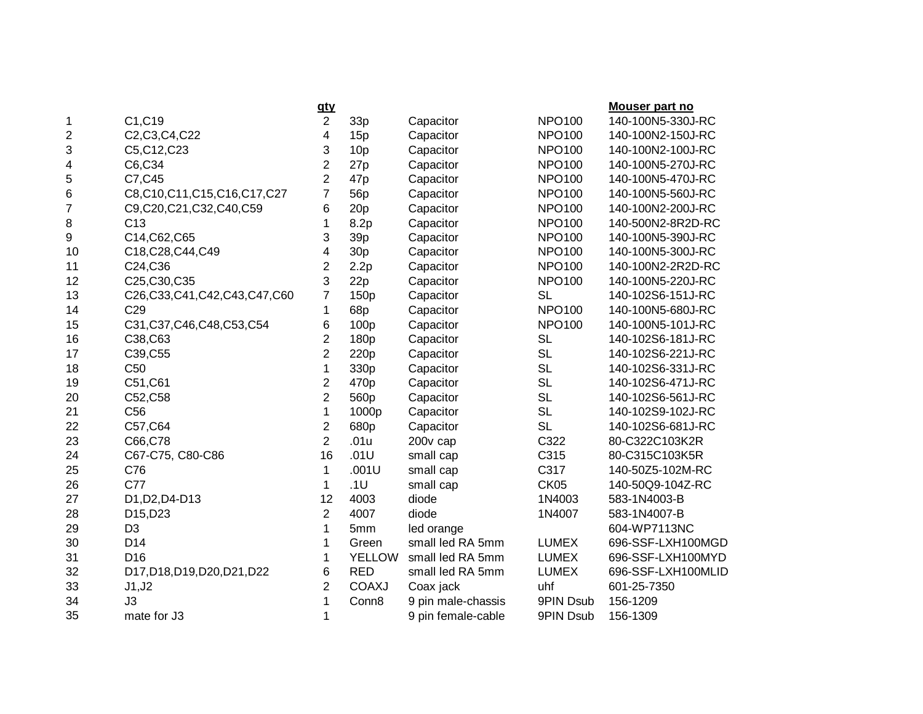|    |                                   | <u>aty</u>     |                 |                    |               | Mouser part no     |
|----|-----------------------------------|----------------|-----------------|--------------------|---------------|--------------------|
| 1  | C1, C19                           | $\overline{2}$ | 33p             | Capacitor          | <b>NPO100</b> | 140-100N5-330J-RC  |
| 2  | C2, C3, C4, C22                   | 4              | 15p             | Capacitor          | <b>NPO100</b> | 140-100N2-150J-RC  |
| 3  | C5, C12, C23                      | 3              | 10p             | Capacitor          | <b>NPO100</b> | 140-100N2-100J-RC  |
| 4  | C6,C34                            | $\overline{2}$ | 27p             | Capacitor          | <b>NPO100</b> | 140-100N5-270J-RC  |
| 5  | C7, C45                           | $\overline{2}$ | 47 <sub>p</sub> | Capacitor          | <b>NPO100</b> | 140-100N5-470J-RC  |
| 6  | C8,C10,C11,C15,C16,C17,C27        | $\overline{7}$ | 56 <sub>p</sub> | Capacitor          | <b>NPO100</b> | 140-100N5-560J-RC  |
| 7  | C9,C20,C21,C32,C40,C59            | 6              | 20p             | Capacitor          | <b>NPO100</b> | 140-100N2-200J-RC  |
| 8  | C <sub>13</sub>                   | 1              | 8.2p            | Capacitor          | <b>NPO100</b> | 140-500N2-8R2D-RC  |
| 9  | C14, C62, C65                     | 3              | 39 <sub>p</sub> | Capacitor          | <b>NPO100</b> | 140-100N5-390J-RC  |
| 10 | C18, C28, C44, C49                | 4              | 30 <sub>p</sub> | Capacitor          | <b>NPO100</b> | 140-100N5-300J-RC  |
| 11 | C24, C36                          | $\overline{2}$ | 2.2p            | Capacitor          | <b>NPO100</b> | 140-100N2-2R2D-RC  |
| 12 | C25, C30, C35                     | 3              | 22p             | Capacitor          | <b>NPO100</b> | 140-100N5-220J-RC  |
| 13 | C26, C33, C41, C42, C43, C47, C60 | $\overline{7}$ | 150p            | Capacitor          | <b>SL</b>     | 140-102S6-151J-RC  |
| 14 | C <sub>29</sub>                   | 1              | 68p             | Capacitor          | <b>NPO100</b> | 140-100N5-680J-RC  |
| 15 | C31, C37, C46, C48, C53, C54      | 6              | 100p            | Capacitor          | <b>NPO100</b> | 140-100N5-101J-RC  |
| 16 | C38, C63                          | $\overline{2}$ | 180p            | Capacitor          | <b>SL</b>     | 140-102S6-181J-RC  |
| 17 | C39, C55                          | $\overline{2}$ | 220p            | Capacitor          | <b>SL</b>     | 140-102S6-221J-RC  |
| 18 | C <sub>50</sub>                   | 1              | 330p            | Capacitor          | <b>SL</b>     | 140-102S6-331J-RC  |
| 19 | C51, C61                          | 2              | 470p            | Capacitor          | <b>SL</b>     | 140-102S6-471J-RC  |
| 20 | C52, C58                          | $\overline{2}$ | 560p            | Capacitor          | <b>SL</b>     | 140-102S6-561J-RC  |
| 21 | C <sub>56</sub>                   | 1              | 1000p           | Capacitor          | <b>SL</b>     | 140-102S9-102J-RC  |
| 22 | C57, C64                          | $\overline{2}$ | 680p            | Capacitor          | <b>SL</b>     | 140-102S6-681J-RC  |
| 23 | C66,C78                           | $\overline{2}$ | .01u            | 200v cap           | C322          | 80-C322C103K2R     |
| 24 | C67-C75, C80-C86                  | 16             | .01U            | small cap          | C315          | 80-C315C103K5R     |
| 25 | C76                               | 1              | .001U           | small cap          | C317          | 140-50Z5-102M-RC   |
| 26 | C77                               | $\mathbf{1}$   | .1U             | small cap          | CK05          | 140-50Q9-104Z-RC   |
| 27 | D1, D2, D4-D13                    | 12             | 4003            | diode              | 1N4003        | 583-1N4003-B       |
| 28 | D15,D23                           | $\overline{2}$ | 4007            | diode              | 1N4007        | 583-1N4007-B       |
| 29 | D <sub>3</sub>                    | 1              | 5mm             | led orange         |               | 604-WP7113NC       |
| 30 | D14                               | 1              | Green           | small led RA 5mm   | <b>LUMEX</b>  | 696-SSF-LXH100MGD  |
| 31 | D <sub>16</sub>                   | 1              | <b>YELLOW</b>   | small led RA 5mm   | <b>LUMEX</b>  | 696-SSF-LXH100MYD  |
| 32 | D17,D18,D19,D20,D21,D22           | 6              | <b>RED</b>      | small led RA 5mm   | <b>LUMEX</b>  | 696-SSF-LXH100MLID |
| 33 | J1, J2                            | 2              | <b>COAXJ</b>    | Coax jack          | uhf           | 601-25-7350        |
| 34 | J3                                | 1              | Conn8           | 9 pin male-chassis | 9PIN Dsub     | 156-1209           |
| 35 | mate for J3                       | 1              |                 | 9 pin female-cable | 9PIN Dsub     | 156-1309           |
|    |                                   |                |                 |                    |               |                    |